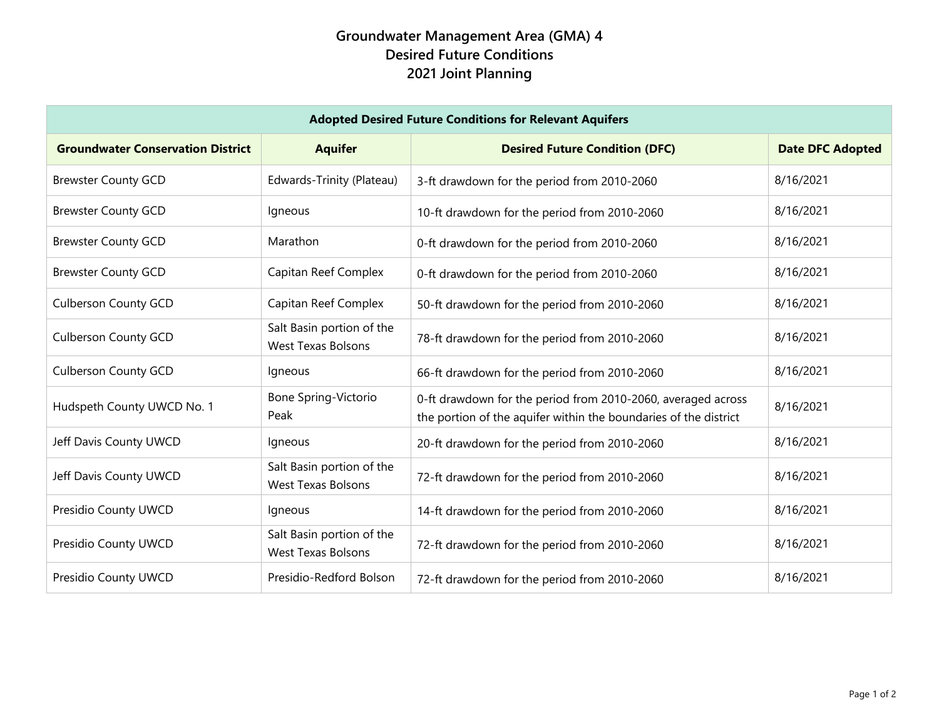## **Groundwater Management Area (GMA) 4 Desired Future Conditions 2021 Joint Planning**

| <b>Adopted Desired Future Conditions for Relevant Aquifers</b> |                                                        |                                                                                                                                  |                         |  |
|----------------------------------------------------------------|--------------------------------------------------------|----------------------------------------------------------------------------------------------------------------------------------|-------------------------|--|
| <b>Groundwater Conservation District</b>                       | <b>Aquifer</b>                                         | <b>Desired Future Condition (DFC)</b>                                                                                            | <b>Date DFC Adopted</b> |  |
| <b>Brewster County GCD</b>                                     | Edwards-Trinity (Plateau)                              | 3-ft drawdown for the period from 2010-2060                                                                                      | 8/16/2021               |  |
| <b>Brewster County GCD</b>                                     | Igneous                                                | 10-ft drawdown for the period from 2010-2060                                                                                     | 8/16/2021               |  |
| <b>Brewster County GCD</b>                                     | Marathon                                               | 0-ft drawdown for the period from 2010-2060                                                                                      | 8/16/2021               |  |
| <b>Brewster County GCD</b>                                     | Capitan Reef Complex                                   | 0-ft drawdown for the period from 2010-2060                                                                                      | 8/16/2021               |  |
| <b>Culberson County GCD</b>                                    | Capitan Reef Complex                                   | 50-ft drawdown for the period from 2010-2060                                                                                     | 8/16/2021               |  |
| <b>Culberson County GCD</b>                                    | Salt Basin portion of the<br><b>West Texas Bolsons</b> | 78-ft drawdown for the period from 2010-2060                                                                                     | 8/16/2021               |  |
| <b>Culberson County GCD</b>                                    | Igneous                                                | 66-ft drawdown for the period from 2010-2060                                                                                     | 8/16/2021               |  |
| Hudspeth County UWCD No. 1                                     | <b>Bone Spring-Victorio</b><br>Peak                    | 0-ft drawdown for the period from 2010-2060, averaged across<br>the portion of the aquifer within the boundaries of the district | 8/16/2021               |  |
| Jeff Davis County UWCD                                         | Igneous                                                | 20-ft drawdown for the period from 2010-2060                                                                                     | 8/16/2021               |  |
| Jeff Davis County UWCD                                         | Salt Basin portion of the<br><b>West Texas Bolsons</b> | 72-ft drawdown for the period from 2010-2060                                                                                     | 8/16/2021               |  |
| Presidio County UWCD                                           | Igneous                                                | 14-ft drawdown for the period from 2010-2060                                                                                     | 8/16/2021               |  |
| Presidio County UWCD                                           | Salt Basin portion of the<br><b>West Texas Bolsons</b> | 72-ft drawdown for the period from 2010-2060                                                                                     | 8/16/2021               |  |
| Presidio County UWCD                                           | Presidio-Redford Bolson                                | 72-ft drawdown for the period from 2010-2060                                                                                     | 8/16/2021               |  |